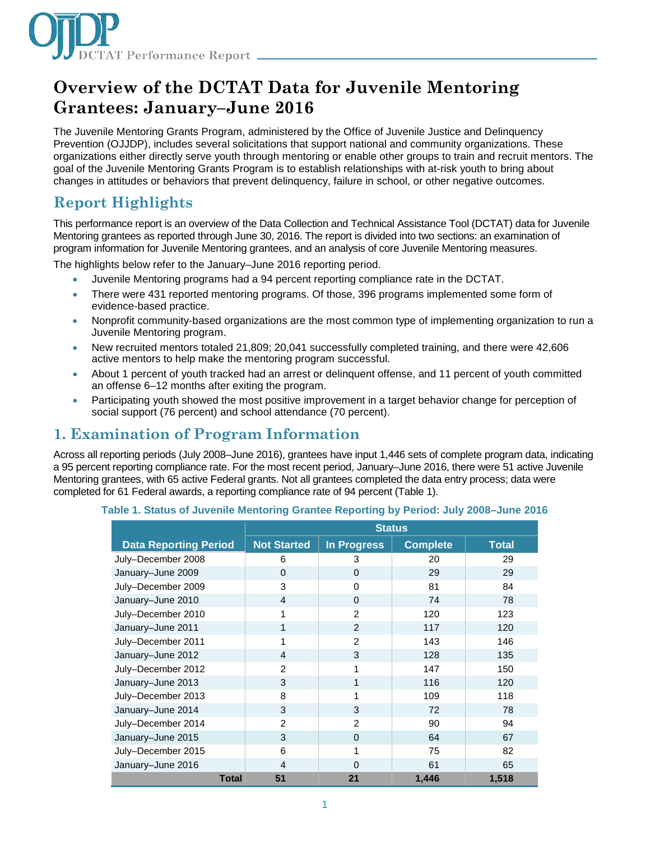

# **Overview of the DCTAT Data for Juvenile Mentoring Grantees: January–June 2016**

The Juvenile Mentoring Grants Program, administered by the Office of Juvenile Justice and Delinquency Prevention (OJJDP), includes several solicitations that support national and community organizations. These organizations either directly serve youth through mentoring or enable other groups to train and recruit mentors. The goal of the Juvenile Mentoring Grants Program is to establish relationships with at-risk youth to bring about changes in attitudes or behaviors that prevent delinquency, failure in school, or other negative outcomes.

## **Report Highlights**

This performance report is an overview of the Data Collection and Technical Assistance Tool (DCTAT) data for Juvenile Mentoring grantees as reported through June 30, 2016. The report is divided into two sections: an examination of program information for Juvenile Mentoring grantees, and an analysis of core Juvenile Mentoring measures.

The highlights below refer to the January–June 2016 reporting period.

- Juvenile Mentoring programs had a 94 percent reporting compliance rate in the DCTAT.
- There were 431 reported mentoring programs. Of those, 396 programs implemented some form of evidence-based practice.
- Nonprofit community-based organizations are the most common type of implementing organization to run a Juvenile Mentoring program.
- New recruited mentors totaled 21,809; 20,041 successfully completed training, and there were 42,606 active mentors to help make the mentoring program successful.
- About 1 percent of youth tracked had an arrest or delinquent offense, and 11 percent of youth committed an offense 6–12 months after exiting the program.
- Participating youth showed the most positive improvement in a target behavior change for perception of social support (76 percent) and school attendance (70 percent).

### **1. Examination of Program Information**

Across all reporting periods (July 2008–June 2016), grantees have input 1,446 sets of complete program data, indicating a 95 percent reporting compliance rate. For the most recent period, January–June 2016, there were 51 active Juvenile Mentoring grantees, with 65 active Federal grants. Not all grantees completed the data entry process; data were completed for 61 Federal awards, a reporting compliance rate of 94 percent (Table 1).

#### **Table 1. Status of Juvenile Mentoring Grantee Reporting by Period: July 2008–June 2016**

|                              |              | <b>Status</b>      |                    |                 |              |
|------------------------------|--------------|--------------------|--------------------|-----------------|--------------|
| <b>Data Reporting Period</b> |              | <b>Not Started</b> | <b>In Progress</b> | <b>Complete</b> | <b>Total</b> |
| July-December 2008           |              | 6                  | 3                  | 20              | 29           |
| January-June 2009            |              | $\Omega$           | $\Omega$           | 29              | 29           |
| July-December 2009           |              | 3                  | 0                  | 81              | 84           |
| January-June 2010            |              | $\overline{4}$     | $\Omega$           | 74              | 78           |
| July-December 2010           |              | 1                  | $\mathfrak{p}$     | 120             | 123          |
| January-June 2011            |              | 1                  | 2                  | 117             | 120          |
| July-December 2011           |              | 1                  | $\mathfrak{p}$     | 143             | 146          |
| January-June 2012            |              | $\overline{4}$     | 3                  | 128             | 135          |
| July-December 2012           |              | 2                  | 1                  | 147             | 150          |
| January-June 2013            |              | 3                  | 1                  | 116             | 120          |
| July-December 2013           |              | 8                  | 1                  | 109             | 118          |
| January-June 2014            |              | 3                  | 3                  | 72              | 78           |
| July-December 2014           |              | $\overline{2}$     | $\overline{2}$     | 90              | 94           |
| January-June 2015            |              | 3                  | $\Omega$           | 64              | 67           |
| July-December 2015           |              | 6                  | 1                  | 75              | 82           |
| January-June 2016            |              | 4                  | $\Omega$           | 61              | 65           |
|                              | <b>Total</b> | 51                 | 21                 | 1,446           | 1,518        |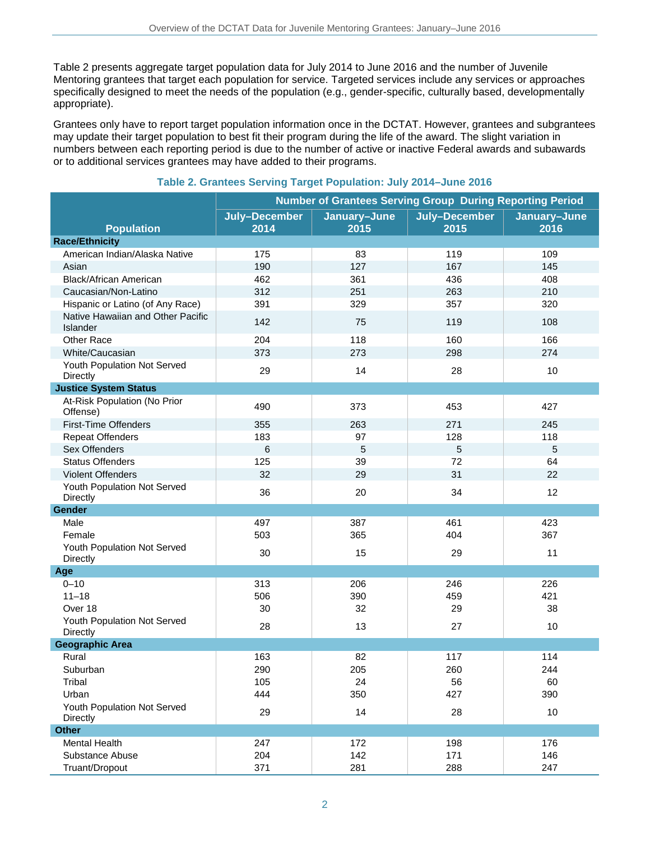Table 2 presents aggregate target population data for July 2014 to June 2016 and the number of Juvenile Mentoring grantees that target each population for service. Targeted services include any services or approaches specifically designed to meet the needs of the population (e.g., gender-specific, culturally based, developmentally appropriate).

Grantees only have to report target population information once in the DCTAT. However, grantees and subgrantees may update their target population to best fit their program during the life of the award. The slight variation in numbers between each reporting period is due to the number of active or inactive Federal awards and subawards or to additional services grantees may have added to their programs.

|                                                | <b>Number of Grantees Serving Group During Reporting Period</b> |                      |                       |                      |
|------------------------------------------------|-----------------------------------------------------------------|----------------------|-----------------------|----------------------|
| <b>Population</b>                              | July-December<br>2014                                           | January-June<br>2015 | July-December<br>2015 | January-June<br>2016 |
| <b>Race/Ethnicity</b>                          |                                                                 |                      |                       |                      |
| American Indian/Alaska Native                  | 175                                                             | 83                   | 119                   | 109                  |
| Asian                                          | 190                                                             | 127                  | 167                   | 145                  |
| Black/African American                         | 462                                                             | 361                  | 436                   | 408                  |
| Caucasian/Non-Latino                           | 312                                                             | 251                  | 263                   | 210                  |
| Hispanic or Latino (of Any Race)               | 391                                                             | 329                  | 357                   | 320                  |
| Native Hawaiian and Other Pacific<br>Islander  | 142                                                             | 75                   | 119                   | 108                  |
| Other Race                                     | 204                                                             | 118                  | 160                   | 166                  |
| White/Caucasian                                | 373                                                             | 273                  | 298                   | 274                  |
| Youth Population Not Served<br><b>Directly</b> | 29                                                              | 14                   | 28                    | 10                   |
| <b>Justice System Status</b>                   |                                                                 |                      |                       |                      |
| At-Risk Population (No Prior<br>Offense)       | 490                                                             | 373                  | 453                   | 427                  |
| <b>First-Time Offenders</b>                    | 355                                                             | 263                  | 271                   | 245                  |
| <b>Repeat Offenders</b>                        | 183                                                             | 97                   | 128                   | 118                  |
| Sex Offenders                                  | 6                                                               | 5                    | $\overline{5}$        | 5                    |
| <b>Status Offenders</b>                        | 125                                                             | 39                   | 72                    | 64                   |
| <b>Violent Offenders</b>                       | 32                                                              | 29                   | 31                    | 22                   |
| Youth Population Not Served<br>Directly        | 36                                                              | 20                   | 34                    | 12                   |
| Gender                                         |                                                                 |                      |                       |                      |
| Male                                           | 497                                                             | 387                  | 461                   | 423                  |
| Female                                         | 503                                                             | 365                  | 404                   | 367                  |
| Youth Population Not Served<br>Directly        | 30                                                              | 15                   | 29                    | 11                   |
| Age                                            |                                                                 |                      |                       |                      |
| $0 - 10$                                       | 313                                                             | 206                  | 246                   | 226                  |
| $11 - 18$                                      | 506                                                             | 390                  | 459                   | 421                  |
| Over 18                                        | 30                                                              | 32                   | 29                    | 38                   |
| Youth Population Not Served<br>Directly        | 28                                                              | 13                   | 27                    | 10                   |
| <b>Geographic Area</b>                         |                                                                 |                      |                       |                      |
| Rural                                          | 163                                                             | 82                   | 117                   | 114                  |
| Suburban                                       | 290                                                             | 205                  | 260                   | 244                  |
| Tribal                                         | 105                                                             | 24                   | 56                    | 60                   |
| Urban                                          | 444                                                             | 350                  | 427                   | 390                  |
| Youth Population Not Served<br>Directly        | 29                                                              | 14                   | 28                    | 10                   |
| <b>Other</b>                                   |                                                                 |                      |                       |                      |
| <b>Mental Health</b>                           | 247                                                             | 172                  | 198                   | 176                  |
| Substance Abuse                                | 204                                                             | 142                  | 171                   | 146                  |
| Truant/Dropout                                 | 371                                                             | 281                  | 288                   | 247                  |

#### **Table 2. Grantees Serving Target Population: July 2014–June 2016**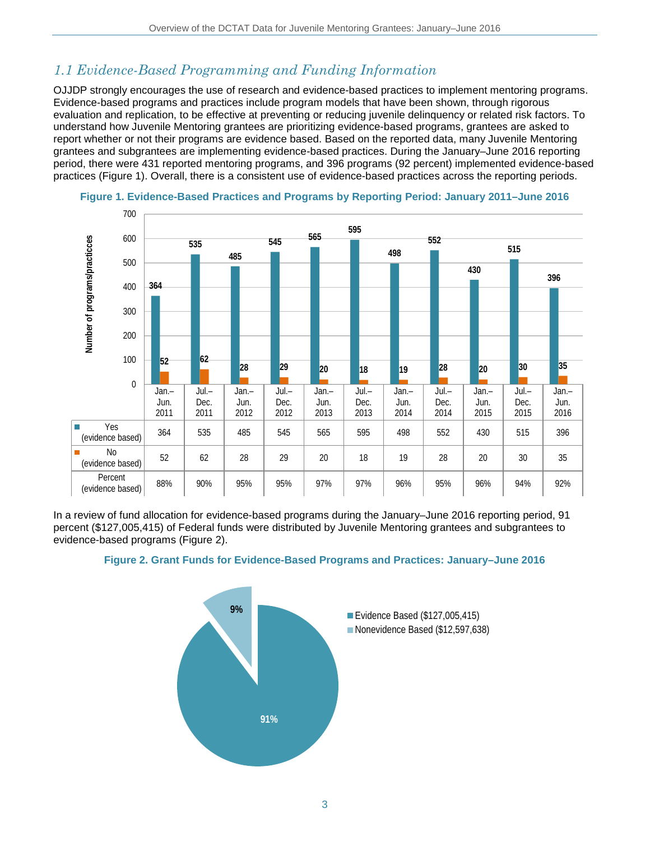## *1.1 Evidence-Based Programming and Funding Information*

OJJDP strongly encourages the use of research and evidence-based practices to implement mentoring programs. Evidence-based programs and practices include program models that have been shown, through rigorous evaluation and replication, to be effective at preventing or reducing juvenile delinquency or related risk factors. To understand how Juvenile Mentoring grantees are prioritizing evidence-based programs, grantees are asked to report whether or not their programs are evidence based. Based on the reported data, many Juvenile Mentoring grantees and subgrantees are implementing evidence-based practices. During the January–June 2016 reporting period, there were 431 reported mentoring programs, and 396 programs (92 percent) implemented evidence-based practices (Figure 1). Overall, there is a consistent use of evidence-based practices across the reporting periods.





In a review of fund allocation for evidence-based programs during the January–June 2016 reporting period, 91 percent (\$127,005,415) of Federal funds were distributed by Juvenile Mentoring grantees and subgrantees to evidence-based programs (Figure 2).



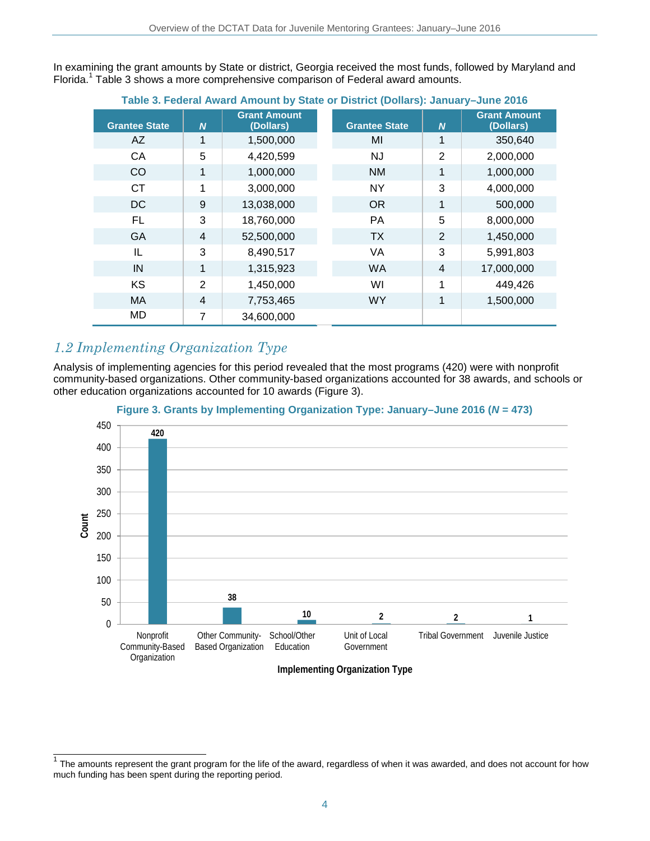In examining the grant amounts by State or district, Georgia received the most funds, followed by Maryland and Florida. <sup>1</sup> Table 3 shows a more comprehensive comparison of Federal award amounts.

| Table 5. Federal Award Annount by State of District (Dollars). Jamaaly-June 2010 |                |                                  |                      |                  |                                  |
|----------------------------------------------------------------------------------|----------------|----------------------------------|----------------------|------------------|----------------------------------|
| <b>Grantee State</b>                                                             | $\overline{N}$ | <b>Grant Amount</b><br>(Dollars) | <b>Grantee State</b> | $\boldsymbol{N}$ | <b>Grant Amount</b><br>(Dollars) |
| AZ                                                                               | 1              | 1,500,000                        | MI                   | 1                | 350,640                          |
| CA                                                                               | 5              | 4,420,599                        | <b>NJ</b>            | $\overline{2}$   | 2,000,000                        |
| CO                                                                               | 1              | 1,000,000                        | <b>NM</b>            | 1                | 1,000,000                        |
| CT.                                                                              | 1              | 3,000,000                        | <b>NY</b>            | 3                | 4,000,000                        |
| <b>DC</b>                                                                        | 9              | 13,038,000                       | <b>OR</b>            | 1                | 500,000                          |
| FL                                                                               | 3              | 18,760,000                       | <b>PA</b>            | 5                | 8,000,000                        |
| <b>GA</b>                                                                        | 4              | 52,500,000                       | <b>TX</b>            | $\overline{2}$   | 1,450,000                        |
| IL                                                                               | 3              | 8,490,517                        | VA                   | 3                | 5,991,803                        |
| IN                                                                               | 1              | 1,315,923                        | <b>WA</b>            | $\overline{4}$   | 17,000,000                       |
| <b>KS</b>                                                                        | $\overline{2}$ | 1,450,000                        | WI                   | 1                | 449,426                          |
| МA                                                                               | 4              | 7,753,465                        | <b>WY</b>            | 1                | 1,500,000                        |
| MD                                                                               | 7              | 34,600,000                       |                      |                  |                                  |

### **Table 3. Federal Award Amount by State or District (Dollars): January–June 2016**

### *1.2 Implementing Organization Type*

Analysis of implementing agencies for this period revealed that the most programs (420) were with nonprofit community-based organizations. Other community-based organizations accounted for 38 awards, and schools or other education organizations accounted for 10 awards (Figure 3).





**Implementing Organization Type** 

 $\frac{1}{1}$  The amounts represent the grant program for the life of the award, regardless of when it was awarded, and does not account for how much funding has been spent during the reporting period.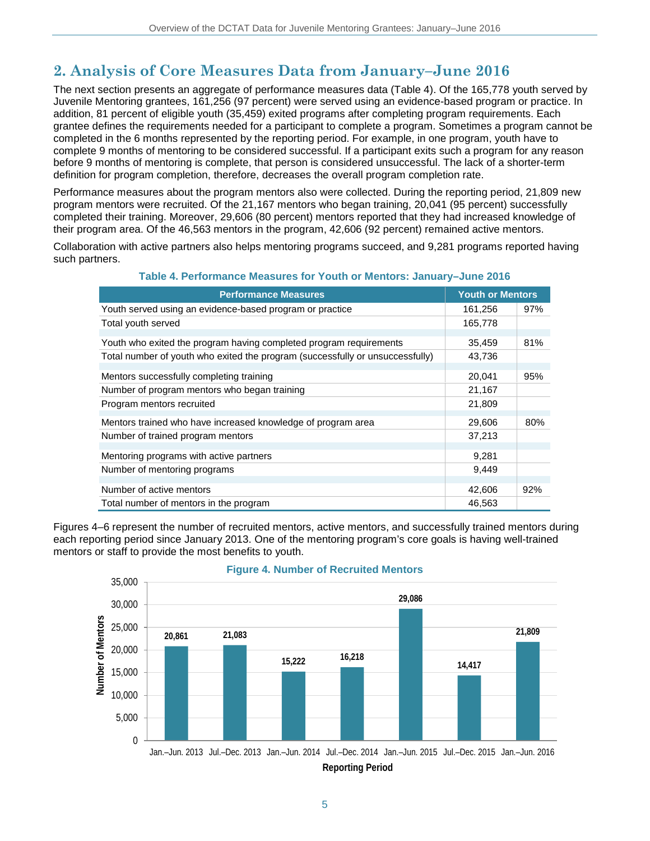## **2. Analysis of Core Measures Data from January–June 2016**

The next section presents an aggregate of performance measures data (Table 4). Of the 165,778 youth served by Juvenile Mentoring grantees, 161,256 (97 percent) were served using an evidence-based program or practice. In addition, 81 percent of eligible youth (35,459) exited programs after completing program requirements. Each grantee defines the requirements needed for a participant to complete a program. Sometimes a program cannot be completed in the 6 months represented by the reporting period. For example, in one program, youth have to complete 9 months of mentoring to be considered successful. If a participant exits such a program for any reason before 9 months of mentoring is complete, that person is considered unsuccessful. The lack of a shorter-term definition for program completion, therefore, decreases the overall program completion rate.

Performance measures about the program mentors also were collected. During the reporting period, 21,809 new program mentors were recruited. Of the 21,167 mentors who began training, 20,041 (95 percent) successfully completed their training. Moreover, 29,606 (80 percent) mentors reported that they had increased knowledge of their program area. Of the 46,563 mentors in the program, 42,606 (92 percent) remained active mentors.

Collaboration with active partners also helps mentoring programs succeed, and 9,281 programs reported having such partners.

| <u>I AVIC 4. FUITUITIANCE MUASULUS TUL TUULITUI MUULLUI S. JANUAI V-JUNU ZUTU</u> |                         |     |  |  |
|-----------------------------------------------------------------------------------|-------------------------|-----|--|--|
| <b>Performance Measures</b>                                                       | <b>Youth or Mentors</b> |     |  |  |
| Youth served using an evidence-based program or practice                          | 161,256                 | 97% |  |  |
| Total youth served                                                                | 165,778                 |     |  |  |
| Youth who exited the program having completed program requirements                | 35,459                  | 81% |  |  |
| Total number of youth who exited the program (successfully or unsuccessfully)     | 43,736                  |     |  |  |
| Mentors successfully completing training                                          | 20,041                  | 95% |  |  |
| Number of program mentors who began training                                      | 21,167                  |     |  |  |
| Program mentors recruited                                                         | 21,809                  |     |  |  |
| Mentors trained who have increased knowledge of program area                      | 29,606                  | 80% |  |  |
| Number of trained program mentors                                                 | 37,213                  |     |  |  |
| Mentoring programs with active partners                                           | 9,281                   |     |  |  |
| Number of mentoring programs                                                      | 9,449                   |     |  |  |
| Number of active mentors                                                          | 42,606                  | 92% |  |  |
| Total number of mentors in the program                                            | 46,563                  |     |  |  |

**Table 4. Performance Measures for Youth or Mentors: January–June 2016**

Figures 4–6 represent the number of recruited mentors, active mentors, and successfully trained mentors during each reporting period since January 2013. One of the mentoring program's core goals is having well-trained mentors or staff to provide the most benefits to youth.



#### **Figure 4. Number of Recruited Mentors**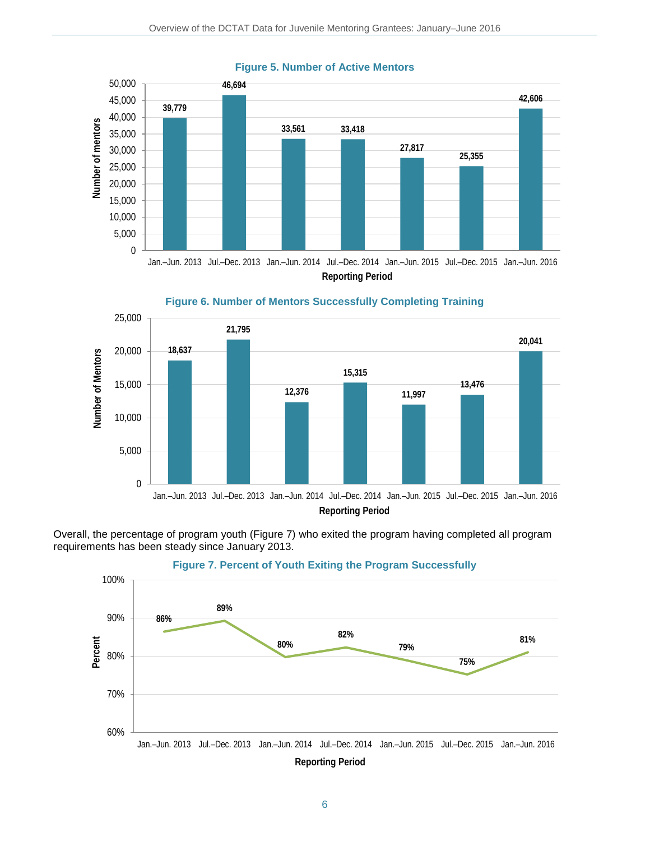

#### **Figure 5. Number of Active Mentors**



Overall, the percentage of program youth (Figure 7) who exited the program having completed all program requirements has been steady since January 2013.



#### **Figure 7. Percent of Youth Exiting the Program Successfully**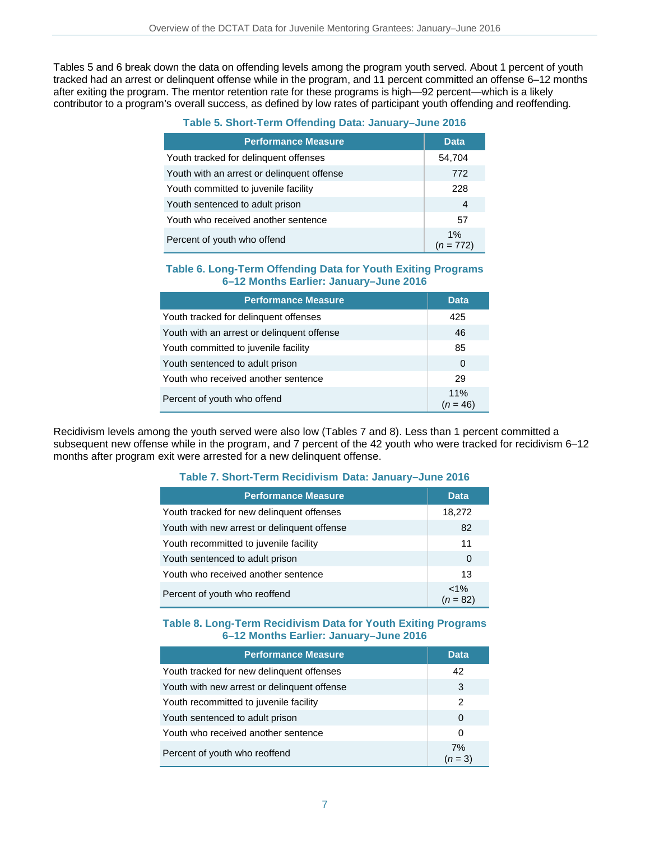Tables 5 and 6 break down the data on offending levels among the program youth served. About 1 percent of youth tracked had an arrest or delinquent offense while in the program, and 11 percent committed an offense 6–12 months after exiting the program. The mentor retention rate for these programs is high—92 percent—which is a likely contributor to a program's overall success, as defined by low rates of participant youth offending and reoffending.

| <b>Performance Measure</b>                 | Data.           |
|--------------------------------------------|-----------------|
| Youth tracked for delinquent offenses      | 54,704          |
| Youth with an arrest or delinguent offense | 772             |
| Youth committed to juvenile facility       | 228             |
| Youth sentenced to adult prison            | 4               |
| Youth who received another sentence        | 57              |
| Percent of youth who offend                | 1%<br>(n = 772) |

#### **Table 6. Long-Term Offending Data for Youth Exiting Programs 6–12 Months Earlier: January–June 2016**

| <b>Performance Measure</b>                 | <b>Data</b>       |
|--------------------------------------------|-------------------|
| Youth tracked for delinguent offenses      | 425               |
| Youth with an arrest or delinguent offense | 46                |
| Youth committed to juvenile facility       | 85                |
| Youth sentenced to adult prison            | 0                 |
| Youth who received another sentence        | 29                |
| Percent of youth who offend                | 11%<br>$(n = 46)$ |

Recidivism levels among the youth served were also low (Tables 7 and 8). Less than 1 percent committed a subsequent new offense while in the program, and 7 percent of the 42 youth who were tracked for recidivism 6-12 months after program exit were arrested for a new delinquent offense.

#### **Table 7. Short-Term Recidivism Data: January–June 2016**

| <b>Performance Measure</b>                  | <b>Data</b>           |
|---------------------------------------------|-----------------------|
| Youth tracked for new delinguent offenses   | 18,272                |
| Youth with new arrest or delinquent offense | 82                    |
| Youth recommitted to juvenile facility      | 11                    |
| Youth sentenced to adult prison             | 0                     |
| Youth who received another sentence         | 13                    |
| Percent of youth who reoffend               | $< 1\%$<br>$(n = 82)$ |

#### **Table 8. Long-Term Recidivism Data for Youth Exiting Programs 6–12 Months Earlier: January–June 2016**

| <b>Performance Measure</b>                  | <b>Data</b>     |
|---------------------------------------------|-----------------|
| Youth tracked for new delinquent offenses   | 42              |
| Youth with new arrest or delinguent offense | 3               |
| Youth recommitted to juvenile facility      | 2               |
| Youth sentenced to adult prison             | 0               |
| Youth who received another sentence         | 0               |
| Percent of youth who reoffend               | 7%<br>$(n = 3)$ |